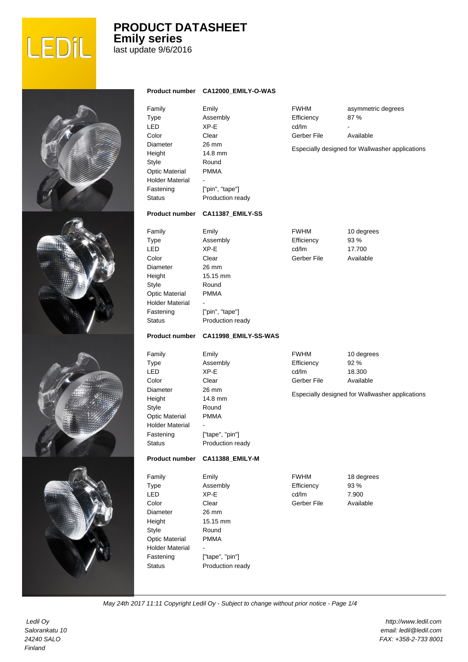

## **PRODUCT DATASHEET Emily series**

last update 9/6/2016

|                                                                                                                                                                         | Product number CA12000_EMILY-O-WAS                                                                                                             |                                                   |                                                                                              |
|-------------------------------------------------------------------------------------------------------------------------------------------------------------------------|------------------------------------------------------------------------------------------------------------------------------------------------|---------------------------------------------------|----------------------------------------------------------------------------------------------|
| Family<br>Type<br><b>LED</b><br>Color<br>Diameter<br>Height<br>Style<br><b>Optic Material</b><br><b>Holder Material</b><br>Fastening<br><b>Status</b>                   | Emily<br>Assembly<br>XP-E<br>Clear<br>26 mm<br>14.8 mm<br>Round<br><b>PMMA</b><br>["pin", "tape"]<br>Production ready                          | <b>FWHM</b><br>Efficiency<br>cd/lm<br>Gerber File | asymmetric degrees<br>87%<br>Available<br>Especially designed for Wallwasher applications    |
| <b>Product number</b>                                                                                                                                                   | CA11387_EMILY-SS                                                                                                                               |                                                   |                                                                                              |
| Family<br>Type<br><b>LED</b><br>Color<br>Diameter<br>Height<br>Style<br>Optic Material<br><b>Holder Material</b><br>Fastening<br><b>Status</b><br><b>Product number</b> | Emily<br>Assembly<br>XP-E<br>Clear<br>26 mm<br>15.15 mm<br>Round<br><b>PMMA</b><br>["pin", "tape"]<br>Production ready<br>CA11998_EMILY-SS-WAS | <b>FWHM</b><br>Efficiency<br>cd/lm<br>Gerber File | 10 degrees<br>93 %<br>17.700<br>Available                                                    |
| Family<br>Type<br><b>LED</b><br>Color<br>Diameter<br>Height<br>Style<br><b>Optic Material</b><br><b>Holder Material</b><br>Fastening<br><b>Status</b><br>Product number | Emily<br>Assembly<br>XP-E<br>Clear<br>26 mm<br>14.8 mm<br>Round<br><b>PMMA</b><br>["tape", "pin"]<br>Production ready<br>CA11388_EMILY-M       | <b>FWHM</b><br>Efficiency<br>cd/lm<br>Gerber File | 10 degrees<br>92 %<br>18.300<br>Available<br>Especially designed for Wallwasher applications |
| Family<br><b>Type</b><br><b>LED</b><br>Color<br><b>Diameter</b><br>Height<br>Style<br><b>Optic Material</b><br><b>Holder Material</b><br>Fastening<br><b>Status</b>     | Emily<br>Assembly<br>XP-E<br>Clear<br>26 mm<br>15.15 mm<br>Round<br><b>PMMA</b><br>L.<br>["tape", "pin"]<br>Production ready                   | <b>FWHM</b><br>Efficiency<br>cd/lm<br>Gerber File | 18 degrees<br>93 %<br>7.900<br>Available                                                     |

May 24th 2017 11:11 Copyright Ledil Oy - Subject to change without prior notice - Page 1/4

 Ledil Oy Salorankatu 10 24240 SALO Finland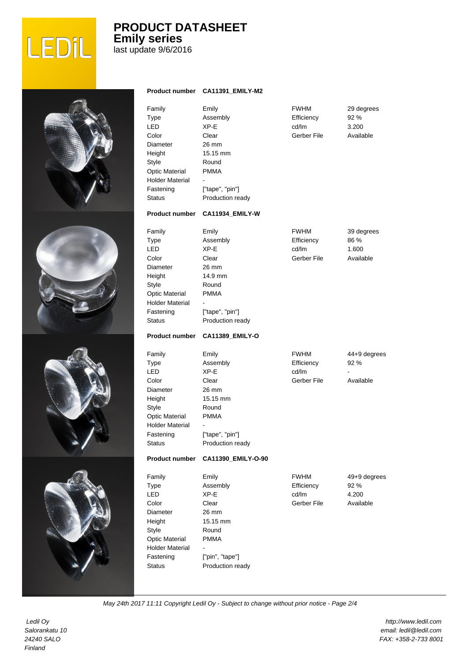

### **PRODUCT DATASHEET Emily series** last update 9/6/2016

Pro Fam Typ LED Colo Diar Heig **Style** Opti Hold Fas Stat Emily Assembly XP-E Clear 26 mm 15.15 mm Round PMMA - ["tape", "pin"] Pro Fam Typ LED Colo Dian Heig Styl Opti Hold Fas Stat Emily Assembly XP-E Clear 26 mm 14.9 mm Round PMMA - ["tape", "pin"] Pro Fam **Typ** LED Cold Diar Heig Styl Opti Hold Fas Stat Emily Assembly XP-E Clear 26 mm 15.15 mm Round PMMA - ["tape", "pin"] Pro Fam Typ LED Colo Dian Heig Styl Opti Hold Fas Stat Emily Assembly XP-E Clear 26 mm 15.15 mm Round PMMA - ["pin", "tape"]

|                                                                                          | duct number CA11391_EMILY-M2                                                                                           |                                                   |                                            |
|------------------------------------------------------------------------------------------|------------------------------------------------------------------------------------------------------------------------|---------------------------------------------------|--------------------------------------------|
| ily<br>е<br>)<br>эr<br>neter<br>ght<br>е<br>ic Material<br>der Material<br>tening<br>:us | Emily<br>Assembly<br>XP-E<br>Clear<br>26 mm<br>15.15 mm<br>Round<br><b>PMMA</b><br>["tape", "pin"]<br>Production ready | <b>FWHM</b><br>Efficiency<br>cd/lm<br>Gerber File | 29 degrees<br>92 %<br>3.200<br>Available   |
| duct number                                                                              | CA11934_EMILY-W                                                                                                        |                                                   |                                            |
| ily<br>е<br>)<br>эr<br>neter<br>ght<br>е<br>ic Material<br>der Material<br>tening<br>:us | Emily<br>Assembly<br>XP-E<br>Clear<br>26 mm<br>14.9 mm<br>Round<br><b>PMMA</b><br>["tape", "pin"]<br>Production ready  | <b>FWHM</b><br>Efficiency<br>cd/lm<br>Gerber File | 39 degrees<br>86 %<br>1.600<br>Available   |
| duct number                                                                              | CA11389_EMILY-O                                                                                                        |                                                   |                                            |
| ily<br>е<br>)<br>эr<br>neter<br>ght<br>е<br>ic Material<br>der Material<br>tening<br>:us | Emily<br>Assembly<br>XP-E<br>Clear<br>26 mm<br>15.15 mm<br>Round<br><b>PMMA</b><br>["tape", "pin"]<br>Production ready | <b>FWHM</b><br>Efficiency<br>cd/lm<br>Gerber File | 44+9 degrees<br>92 %<br>Available          |
| duct number                                                                              | CA11390_EMILY-O-90                                                                                                     |                                                   |                                            |
| ily<br>е<br>)<br>эr<br>meter<br>ght<br>e<br>ic Material<br>der Material<br>tening<br>:us | Emily<br>Assembly<br>XP-E<br>Clear<br>26 mm<br>15.15 mm<br>Round<br><b>PMMA</b><br>["pin", "tape"]<br>Production ready | <b>FWHM</b><br>Efficiency<br>cd/lm<br>Gerber File | 49+9 degrees<br>92 %<br>4.200<br>Available |

May 24th 2017 11:11 Copyright Ledil Oy - Subject to change without prior notice - Page 2/4

 Ledil Oy Salorankatu 10 24240 SALO Finland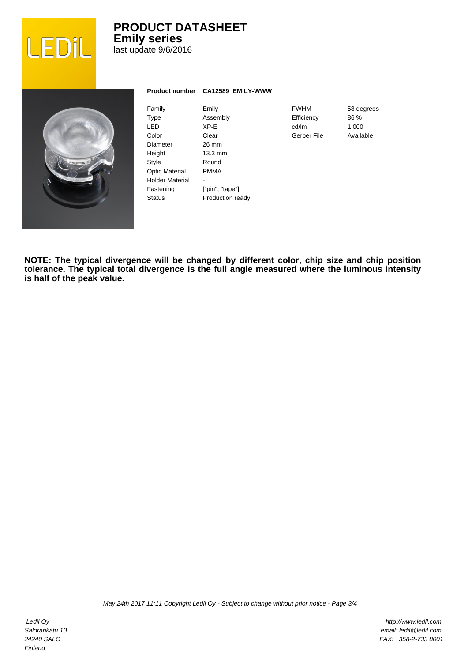

### **PRODUCT DATASHEET Emily series** last update 9/6/2016



| Family                | Emily             |
|-----------------------|-------------------|
| Type                  | Assembly          |
| I FD                  | XP-F              |
| Color                 | Clear             |
| Diameter              | 26 mm             |
| Height                | $13.3 \text{ mm}$ |
| Style                 | Round             |
| <b>Optic Material</b> | PMMA              |
| Holder Material       |                   |
| Fastening             | ["pin", "tape"]   |
| Status                | Production ready  |
|                       |                   |

**Product number CA12589\_EMILY-WWW**

FWHM **Efficiency** cd/lm Gerber File

58 degrees 86 % 1.000 Available

**NOTE: The typical divergence will be changed by different color, chip size and chip position tolerance. The typical total divergence is the full angle measured where the luminous intensity is half of the peak value.**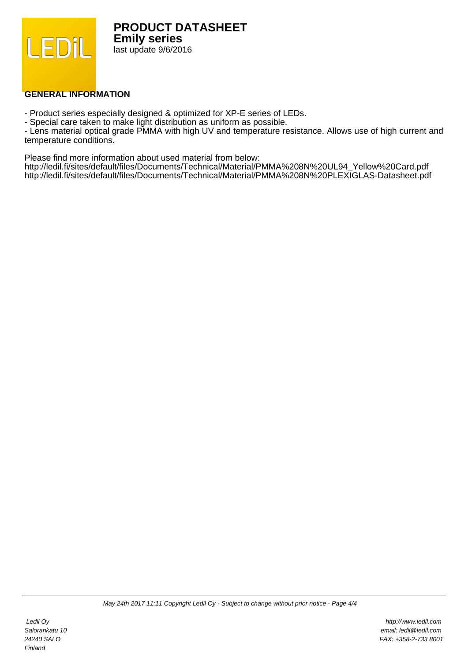

#### **GENERAL INFORMATION**

- Product series especially designed & optimized for XP-E series of LEDs.

- Special care taken to make light distribution as uniform as possible.

- Lens material optical grade PMMA with high UV and temperature resistance. Allows use of high current and temperature conditions.

Please find more information about used material from below:

http://ledil.fi/sites/default/files/Documents/Technical/Material/PMMA%208N%20UL94\_Yellow%20Card.pdf http://ledil.fi/sites/default/files/Documents/Technical/Material/PMMA%208N%20PLEXIGLAS-Datasheet.pdf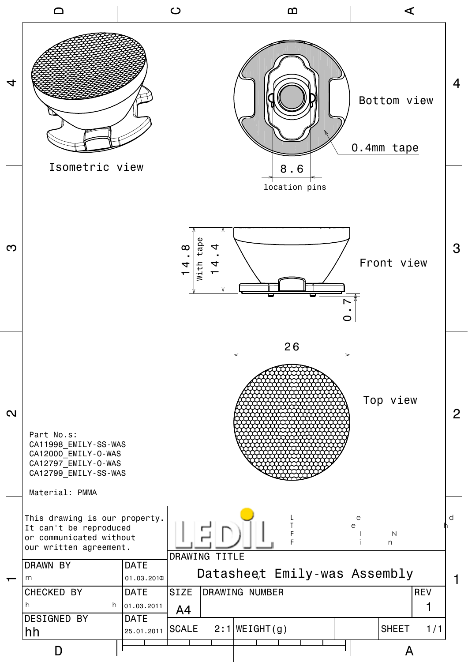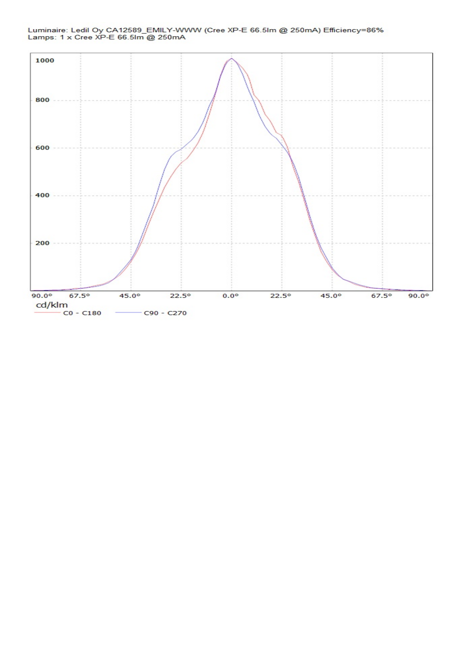